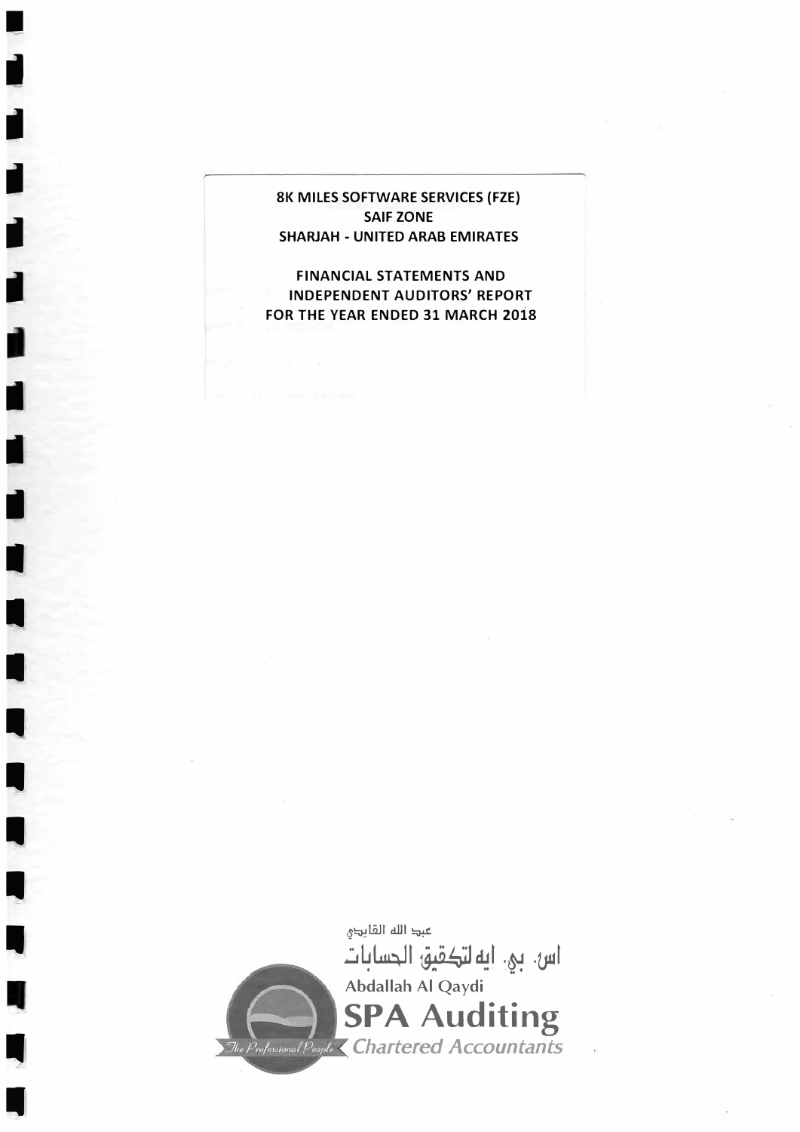# **BK MILES SOFTWARE SERVICES (FZE) III SAIF ZONE**<br>SHARJAH - UNITED ARA **SHARJAH - UNITED ARAB EMIRATES**

■

II

II

II

II

II

I

**I** 

I

II

II

II

II

II

**FINANCIAL STATEMENTS AND <br>
INDEPENDENT AUDITORS' REPORT 1999 PRESSURE AND LINE AND LINE AND LINE ASSAULT AND LINE AND LINE AND LINE AND LINE AND LINE AND LINE AND LINE AND LINE AND LINE AND LINE AND LINE AND LINE AND LINE FOR THE YEAR ENDED 31 MARCH 2018** 

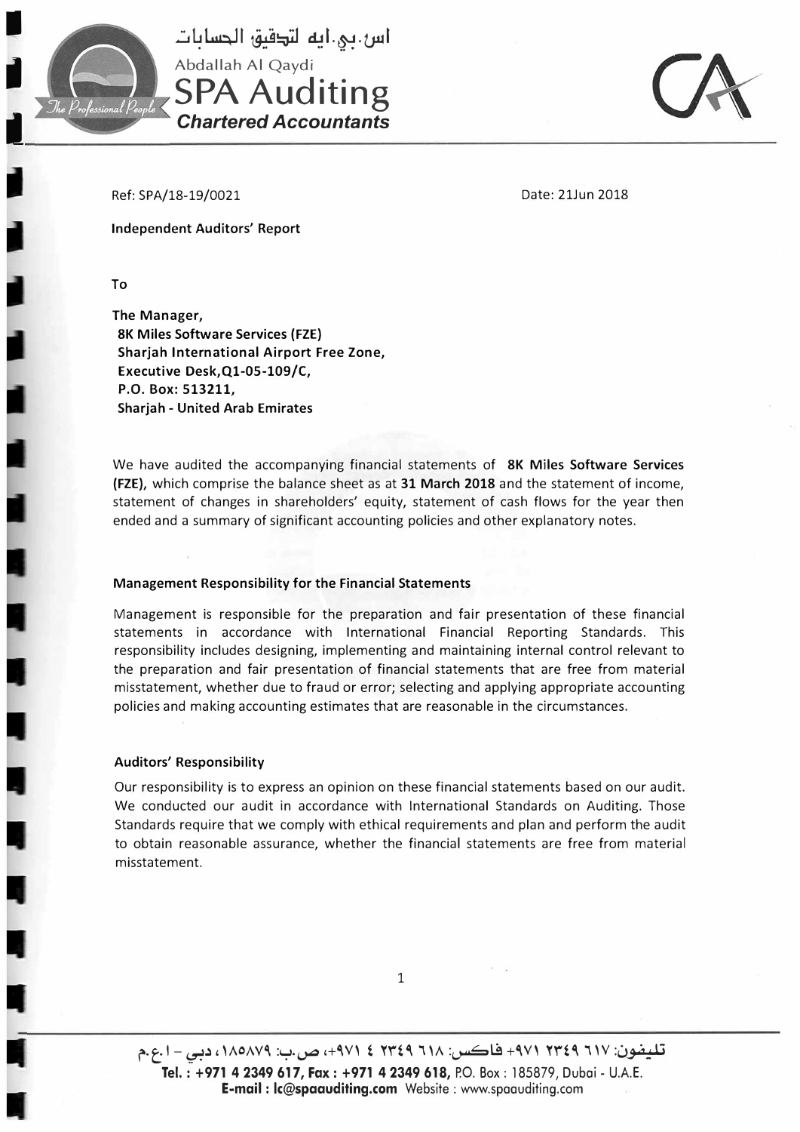

اس.بي.ايه لتكقيق الحسابات Abdallah Al Qaydi **SPA Auditing**  *Chartered Accountants* 



Ref: SPA/18-19/0021

Date: 21Jun 2018

Independent Auditors' Report

To

**The Manager, 8K Miles Software Services (FZE) Sharjah International Airport Free Zone, Executive Desk,Ql-05-109/C, P.O. Box: 513211, Sharjah - United Arab Emirates** 

We have audited the accompanying financial statements of **8K Miles Software Services (FZE),** which comprise the balance sheet as at **31 March 2018** and the statement of income, statement of changes in shareholders' equity, statement of cash flows for the year then ended and a summary of significant accounting policies and other explanatory notes.

#### **Management Responsibility for the Financial Statements**

Management is responsible for the preparation and fair presentation of these financial statements in accordance with International Financial Reporting Standards. This responsibility includes designing, implementing and maintaining internal control relevant to the preparation and fair presentation of financial statements that are free from material misstatement, whether due to fraud or error; selecting and applying appropriate accounting policies and making accounting estimates that are reasonable in the circumstances.

#### **Auditors' Responsibility**

Our responsibility is to express an opinion on these financial statements based on our audit. We conducted our audit in accordance with International Standards on Auditing. Those Standards require that we comply with ethical requirements and plan and perform the audit to obtain reasonable assurance, whether the financial statements are free from material misstatement.

تليفون: ٦١٧ ٢٣٤٩ ٢٧١ - 494 فاكس: ٦١٨ ٢٣٤٩ ٤ ٩٧١، ص.ب: ١٨٥٨٧٩، دب*ي - ٥.*٩. **Tel.: +97142349 617, Fax: +97142349 618,** P.O. Box: 185879, Dubai - U.A.E. **E-mail** : **lc@spaauditing.com** Website : www.spoouditing.com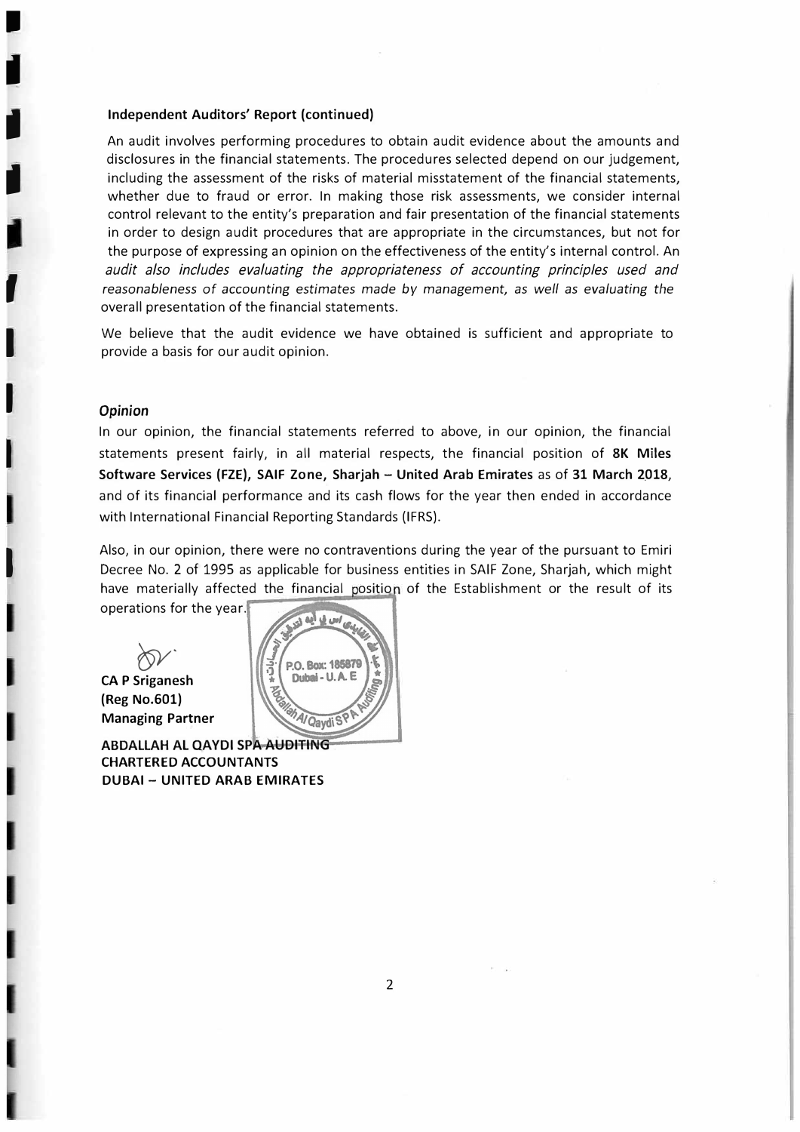#### **Independent Auditors' Report (continued)**

An audit involves performing procedures to obtain audit evidence about the amounts and disclosures in the financial statements. The procedures selected depend on our judgement, including the assessment of the risks of material misstatement of the financial statements, whether due to fraud or error. In making those risk assessments, we consider internal control relevant to the entity's preparation and fair presentation of the financial statements in order to design audit procedures that are appropriate in the circumstances, but not for the purpose of expressing an opinion on the effectiveness of the entity's internal control. An *audit also includes evaluating the appropriateness of accounting principles used and reasonableness of* accounting *estimates made by management, as well as evaluating the*  overall presentation of the financial statements.

We believe that the audit evidence we have obtained is sufficient and appropriate to provide a basis for our audit opinion.

#### *Opinion*

I

II

I

I

"<br>,

**I** 

**I** 

**I** 

I

In our opinion, the financial statements referred to above, in our opinion, the financial statements present fairly, in all material respects, the financial position of **8K Miles Software Services (FZE), SAIF Zone, Sharjah - United Arab Emirates** as of **31 March 2\_018,**  and of its financial performance and its cash flows for the year then ended in accordance with International Financial Reporting Standards {IFRS).

Also, in our opinion, there were no contraventions during the year of the pursuant to Emiri Decree No. 2 of 1995 as applicable for business entities in SAIF Zone, Sharjah, which might have materially affected the financial position of the Establishment or the result of its

operations for the year.

�- **CAP Sriganesh (Reg No.601) Managing Partner** 

**ABDALLAH AL QAYDI SPA AUDITING CHARTERED ACCOUNTANTS DUBAI - UNITED ARAB EMIRATES** 

P.O. Box: 185879 Dubai - U.A.E. <sup>9/</sup>Qaydi<sup>S</sup>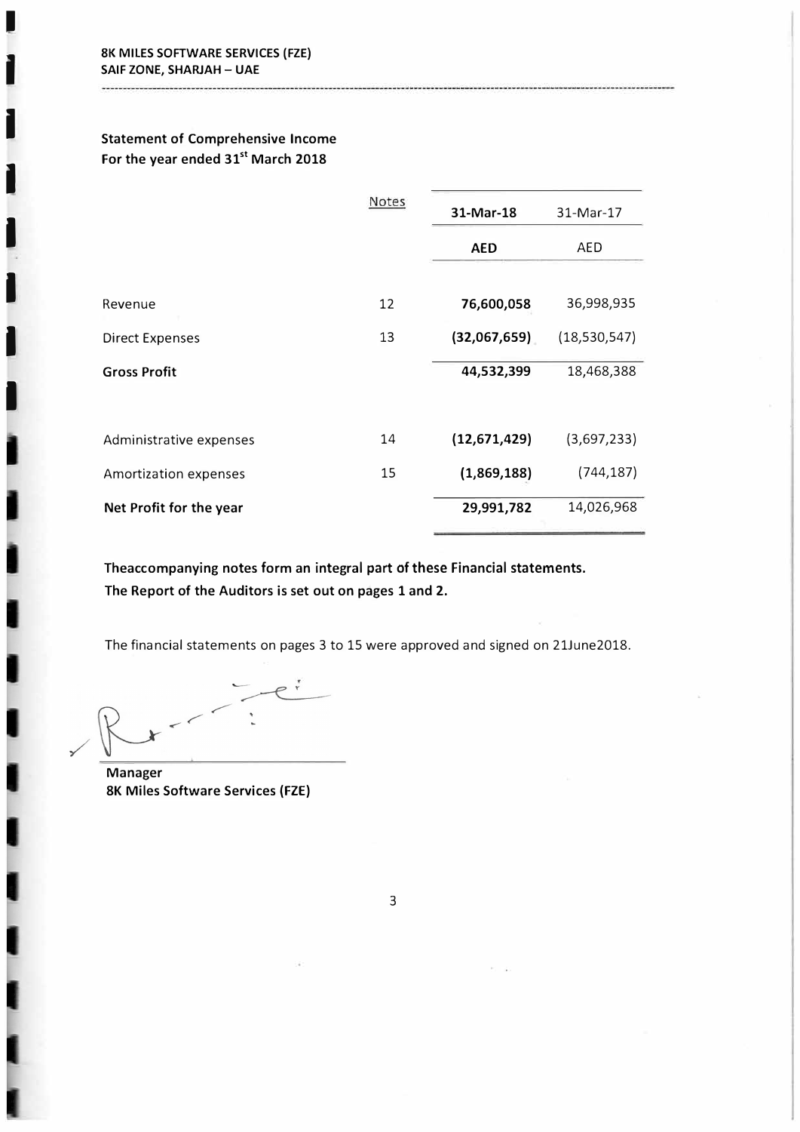I

I

I

I

I

I

I

## **Statement of Comprehensive Income For the year ended 31st March 2018**

|                         | Notes | 31-Mar-18    | 31-Mar-17      |
|-------------------------|-------|--------------|----------------|
|                         |       | <b>AED</b>   | AED            |
| Revenue                 | 12    | 76,600,058   | 36,998,935     |
| <b>Direct Expenses</b>  | 13    | (32,067,659) | (18, 530, 547) |
| <b>Gross Profit</b>     |       | 44,532,399   | 18,468,388     |
| Administrative expenses | 14    | (12,671,429) | (3,697,233)    |
| Amortization expenses   | 15    | (1,869,188)  | (744, 187)     |
| Net Profit for the year |       | 29,991,782   | 14,026,968     |

**Theaccompanying notes form an integral part of these Financial statements. The Report of the Auditors is set out on pages 1 and 2.** 

The financial statements on pages 3 to 15 were approved and signed on 21June2018.

 $P^{\dagger}$ 

**Manager 8K Miles Software Services {FZE)**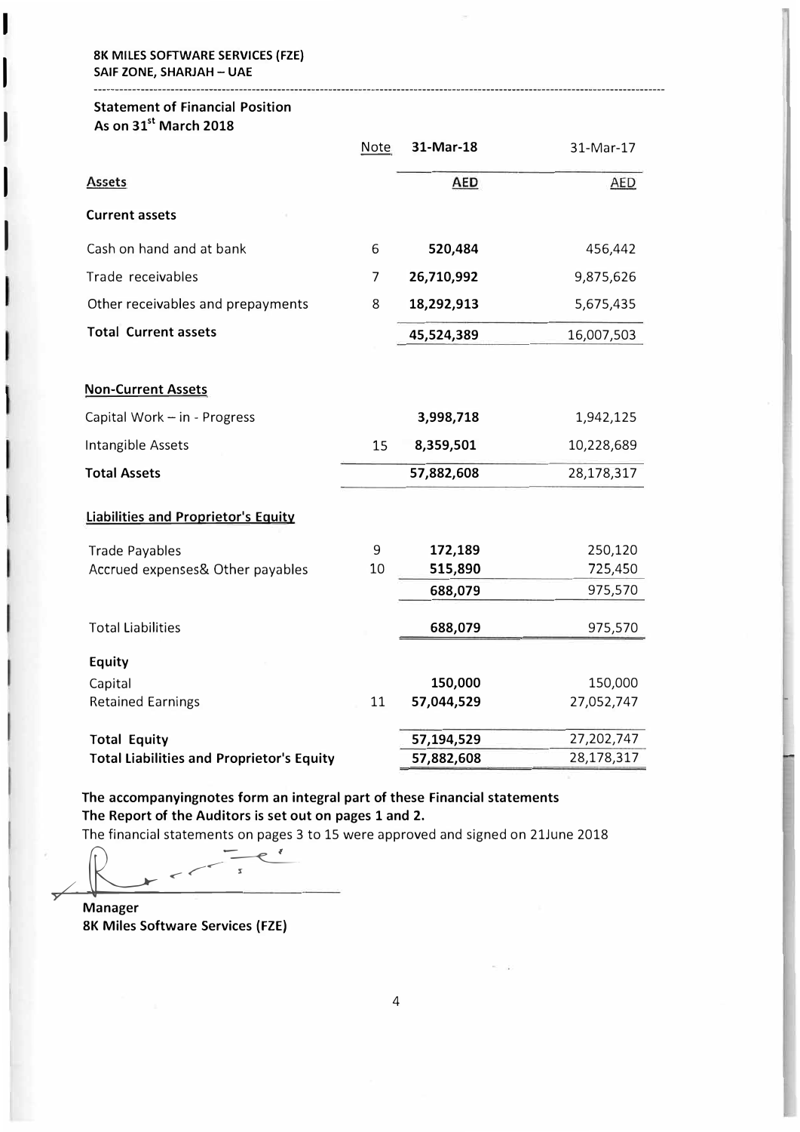#### **BK MILES SOFTWARE SERVICES (FZE) SAIF ZONE, SHARJAH-UAE**

I

 $\mathsf{I}$ 

 $\mathsf{I}$ 

 $\mathsf{I}$ 

 $\mathsf{I}$ 

## **Statement of Financial Position As on 31st March 2018**

|                                                  | <b>Note</b> | 31-Mar-18  | 31-Mar-17  |
|--------------------------------------------------|-------------|------------|------------|
| <b>Assets</b>                                    |             | <b>AED</b> | <b>AED</b> |
| <b>Current assets</b>                            |             |            |            |
| Cash on hand and at bank                         | 6           | 520,484    | 456,442    |
| Trade receivables                                | 7           | 26,710,992 | 9,875,626  |
| Other receivables and prepayments                | 8           | 18,292,913 | 5,675,435  |
| <b>Total Current assets</b>                      |             | 45,524,389 | 16,007,503 |
| <b>Non-Current Assets</b>                        |             |            |            |
| Capital Work - in - Progress                     |             | 3,998,718  | 1,942,125  |
| Intangible Assets                                | 15          | 8,359,501  | 10,228,689 |
| <b>Total Assets</b>                              |             | 57,882,608 | 28,178,317 |
| <b>Liabilities and Proprietor's Equity</b>       |             |            |            |
| <b>Trade Payables</b>                            | 9           | 172,189    | 250,120    |
| Accrued expenses& Other payables                 | 10          | 515,890    | 725,450    |
|                                                  |             | 688,079    | 975,570    |
| <b>Total Liabilities</b>                         |             | 688,079    | 975,570    |
| <b>Equity</b>                                    |             |            |            |
| Capital                                          |             | 150,000    | 150,000    |
| <b>Retained Earnings</b>                         | 11          | 57,044,529 | 27,052,747 |
| <b>Total Equity</b>                              |             | 57,194,529 | 27,202,747 |
| <b>Total Liabilities and Proprietor's Equity</b> |             | 57,882,608 | 28,178,317 |

--------------------------------------------------------------------------------------------------------------------------------------

**The accompanyingnotes form an integral part of these Financial statements The Report of the Auditors is set out on pages 1 and 2.** 

The financial statements on pages 3 to 15 were approved and signed on 21June 2018

The Report of the Auditors is set out on page<br>The financial statements on pages 3 to 15 w ✓ *-<sup>&</sup>lt;*I'

**Manager SK Miles Software Services {FZE)**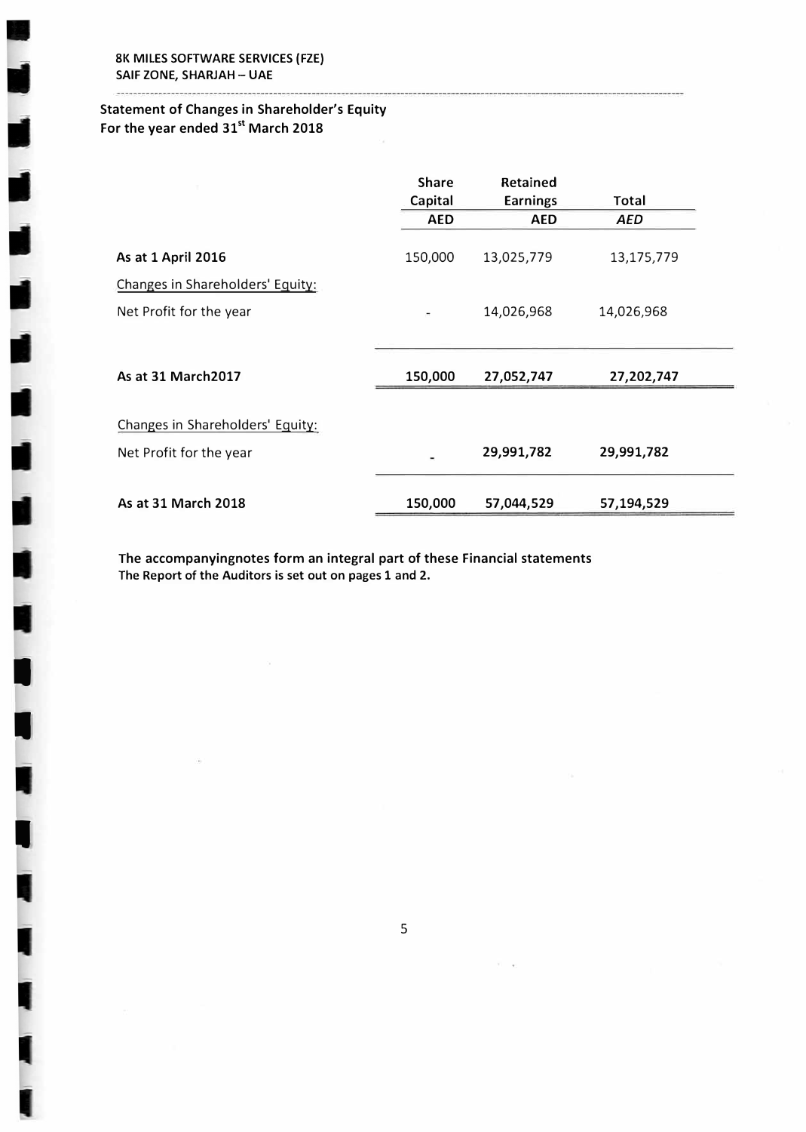I

I

I

## **Statement of Changes in Shareholder's Equity For the year ended 31st March 2018**

|                                  | <b>Share</b> | Retained        |            |
|----------------------------------|--------------|-----------------|------------|
|                                  | Capital      | <b>Earnings</b> | Total      |
|                                  | <b>AED</b>   | <b>AED</b>      | <b>AED</b> |
| As at 1 April 2016               | 150,000      | 13,025,779      | 13,175,779 |
| Changes in Shareholders' Equity: |              |                 |            |
| Net Profit for the year          |              | 14,026,968      | 14,026,968 |
| As at 31 March2017               | 150,000      | 27,052,747      | 27,202,747 |
|                                  |              |                 |            |
| Changes in Shareholders' Equity: |              |                 |            |
| Net Profit for the year          |              | 29,991,782      | 29,991,782 |
|                                  |              |                 |            |
| As at 31 March 2018              | 150,000      | 57,044,529      | 57,194,529 |

**The accompanyingnotes form an integral part of these Financial statements**  The Report of the Auditors is set out on pages 1 and 2.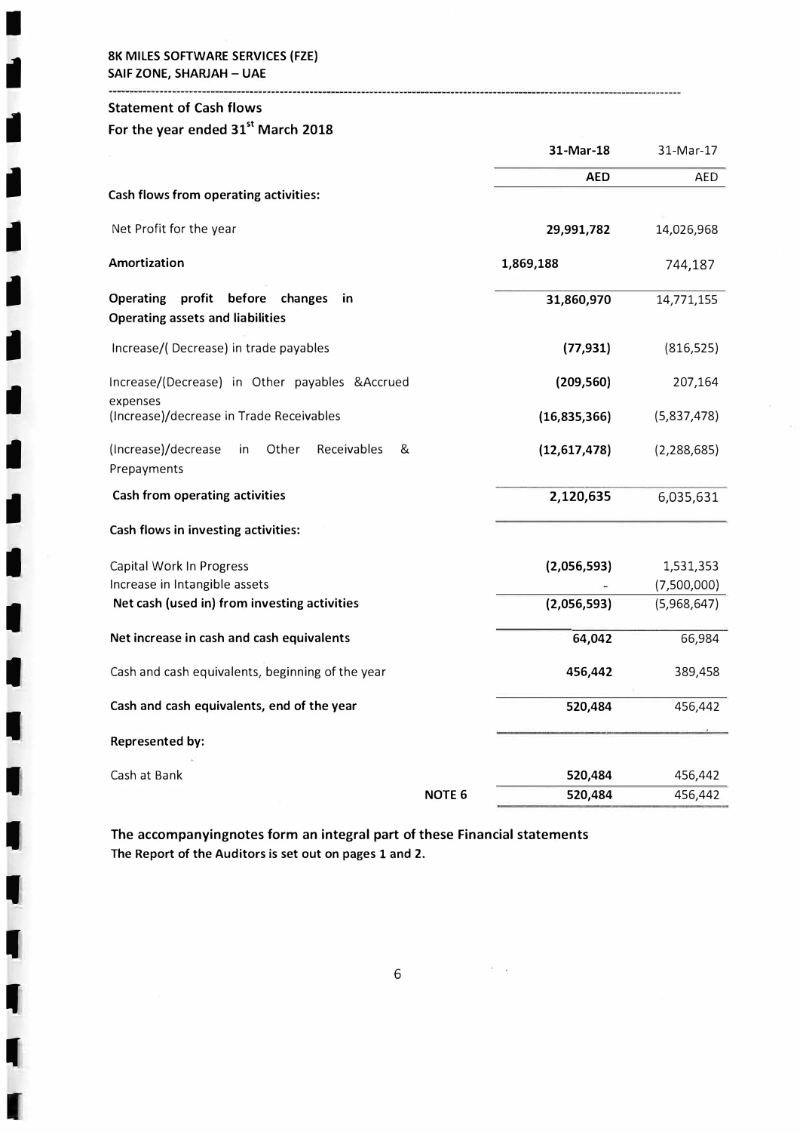#### **8K MILES SOFTWARE SERVICES (FZE) SAIF ZONE, SHARJAH - UAE**

#### **Statement of Cash flows**

I

II

I

I

I

I

I

II

II

II

I

I

I

I

I

I

I

I

'<br>|<br>|

I

# **For the year ended 31st March 2018**

|                                                                                               |               | 31-Mar-18      | 31-Mar-17                |
|-----------------------------------------------------------------------------------------------|---------------|----------------|--------------------------|
|                                                                                               |               | AED            | AED                      |
| Cash flows from operating activities:                                                         |               |                |                          |
| Net Profit for the year                                                                       |               | 29,991,782     | 14,026,968               |
| <b>Amortization</b>                                                                           |               | 1,869,188      | 744,187                  |
| <b>Operating</b><br>profit before<br>changes<br>in<br><b>Operating assets and liabilities</b> |               | 31,860,970     | 14,771,155               |
| Increase/(Decrease) in trade payables                                                         |               | (77, 931)      | (816, 525)               |
| Increase/(Decrease) in Other payables & Accrued                                               |               | (209, 560)     | 207,164                  |
| expenses<br>(Increase)/decrease in Trade Receivables                                          |               | (16,835,366)   | (5,837,478)              |
| (Increase)/decrease<br>Other<br>Receivables<br>&<br>in<br>Prepayments                         |               | (12, 617, 478) | (2, 288, 685)            |
| <b>Cash from operating activities</b>                                                         |               | 2,120,635      | 6,035,631                |
| Cash flows in investing activities:                                                           |               |                |                          |
| Capital Work In Progress<br>Increase in Intangible assets                                     |               | (2,056,593)    | 1,531,353<br>(7,500,000) |
| Net cash (used in) from investing activities                                                  |               | (2,056,593)    | (5,968,647)              |
| Net increase in cash and cash equivalents                                                     |               | 64,042         | 66,984                   |
| Cash and cash equivalents, beginning of the year                                              |               | 456,442        | 389,458                  |
| Cash and cash equivalents, end of the year                                                    |               | 520,484        | 456,442                  |
| <b>Represented by:</b>                                                                        |               |                |                          |
| Cash at Bank                                                                                  |               | 520,484        | 456,442                  |
|                                                                                               | <b>NOTE 6</b> | 520,484        | 456,442                  |

**The accompanyingnotes form an integral part of these Financial statements The Report of the Auditors is set out on pages 1 and 2.**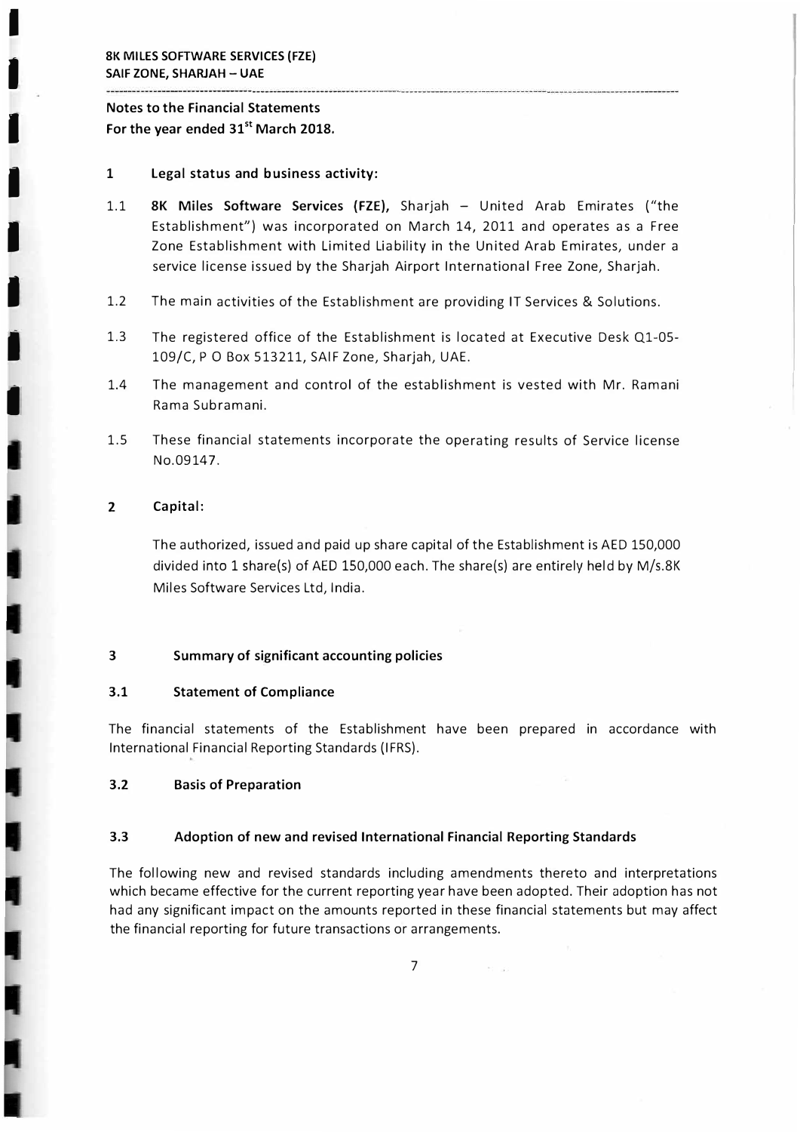I

I

I

I

I

I

I

## **Notes to the Financial Statements For the year ended 31st March 2018.**

#### 1 **Legal status and business activity:**

- 1.1 **8K Miles Software Services (FZE),** Sharjah - United Arab Emirates ("the Establishment") was incorporated on March 14, 2011 and operates as a Free Zone Establishment with Limited Liability in the United Arab Emirates, under a service license issued by the Sharjah Airport International Free Zone, Sharjah.
- 1.2 The main activities of the Establishment are providing IT Services & Solutions.
- 1.3 The registered office of the Establishment is located at Executive Desk Ql-05- 109/C, PO Box 513211, SAIF Zone, Sharjah, UAE.
- 1.4 The management and control of the establishment is vested with Mr. Ramani Rama Subramani.
- 1.5 These financial statements incorporate the operating results of Service license No.09147.

### **2 Capital:**

The authorized, issued and paid up share capital of the Establishment is AED 150,000 divided into 1 share(s) of AED 150,000 each. The share(s) are entirely held by M/s.8K Miles Software Services Ltd, India.

#### **3 Summary of significant accounting policies**

#### **3.1 Statement of Compliance**

The financial statements of the Establishment have been prepared in accordance with International Financial Reporting Standards (IFRS).

#### **3.2 Basis of Preparation**

#### **3.3 Adoption of new and revised International Financial Reporting Standards**

The following new and revised standards including amendments thereto and interpretations which became effective for the current reporting year have been adopted. Their adoption has not had any significant impact on the amounts reported in these financial statements but may affect the financial reporting for future transactions or arrangements.

7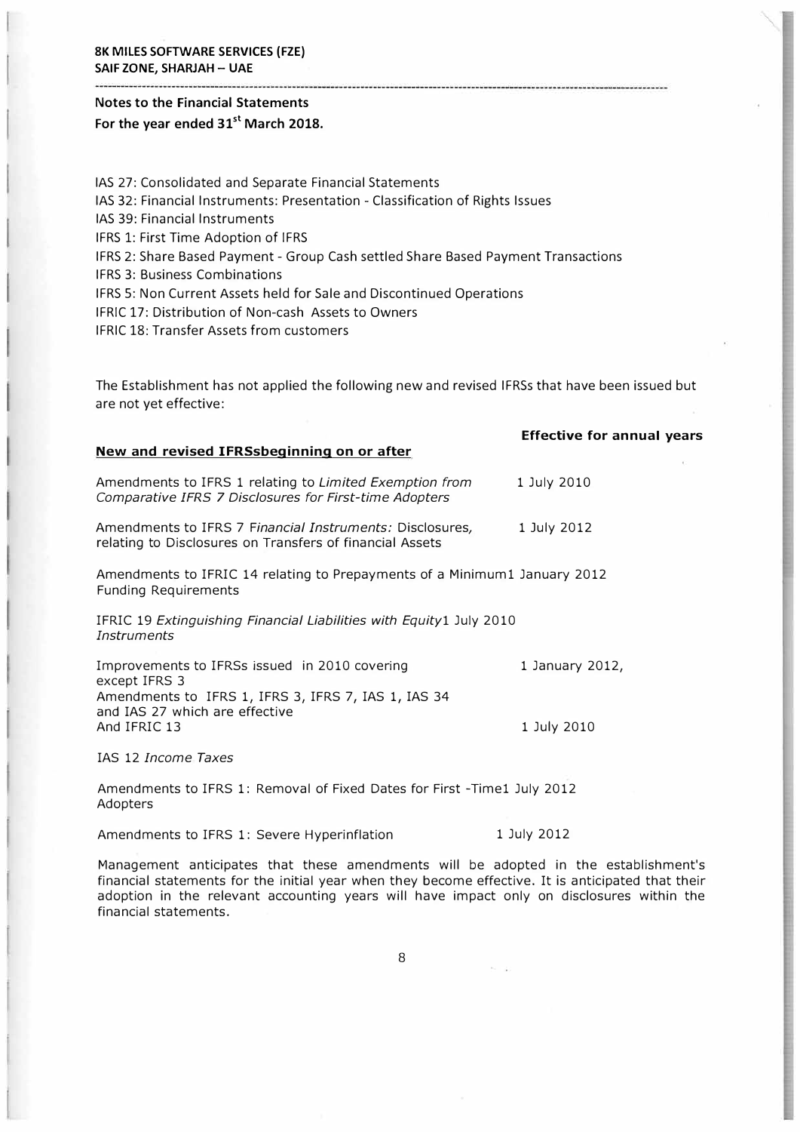## **Notes to the Financial Statements For the year ended 31st March 2018.**

IAS 27: Consolidated and Separate Financial Statements IAS 32: Financial Instruments: Presentation - Classification of Rights Issues IAS 39: Financial Instruments IFRS 1: First Time Adoption of IFRS IFRS 2: Share Based Payment - Group Cash settled Share Based Payment Transactions IFRS 3: Business Combinations IFRS 5: Non Current Assets held for Sale and Discontinued Operations IFRIC 17: Distribution of Non-cash Assets to Owners IFRIC 18: Transfer Assets from customers

The Establishment has not applied the following new and revised IFRSs that have been issued but are not yet effective:

|                                                                                                                       | <b>Effective for annual years</b> |
|-----------------------------------------------------------------------------------------------------------------------|-----------------------------------|
| New and revised IFRSsbeginning on or after                                                                            |                                   |
| Amendments to IFRS 1 relating to Limited Exemption from<br>Comparative IFRS 7 Disclosures for First-time Adopters     | 1 July 2010                       |
| Amendments to IFRS 7 Financial Instruments: Disclosures,<br>relating to Disclosures on Transfers of financial Assets  | 1 July 2012                       |
| Amendments to IFRIC 14 relating to Prepayments of a Minimum1 January 2012<br><b>Funding Requirements</b>              |                                   |
| IFRIC 19 Extinguishing Financial Liabilities with Equity1 July 2010<br>Instruments                                    |                                   |
| Improvements to IFRSs issued in 2010 covering<br>except IFRS 3<br>Amendments to IFRS 1, IFRS 3, IFRS 7, IAS 1, IAS 34 | 1 January 2012,                   |
| and IAS 27 which are effective<br>And IFRIC 13                                                                        | 1 July 2010                       |
| IAS 12 Income Taxes                                                                                                   |                                   |
|                                                                                                                       |                                   |

Amendments to IFRS 1: Removal of Fixed Dates for First -Timel July 2012 Adopters

Amendments to IFRS 1: Severe Hyperinflation 1 July 2012

Management anticipates that these amendments will be adopted in the establishment's financial statements for the initial year when they become effective. It is anticipated that their adoption in the relevant accounting years will have impact only on disclosures within the financial statements.

8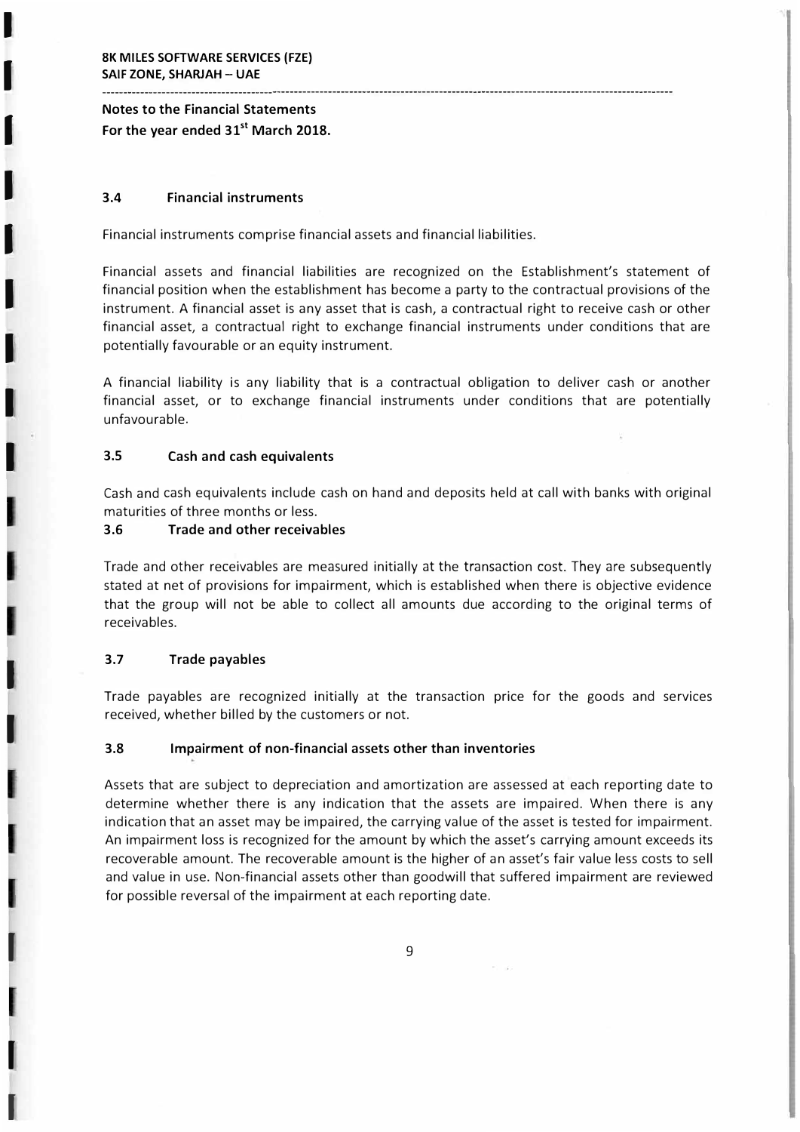I

I

I

I

I

I

I

I

I

I

I

I

 $\blacksquare$ 

## **Notes to the Financial Statements For the year ended 31st March 2018.**

#### **3.4 Financial instruments**

Financial instruments comprise financial assets and financial liabilities.

Financial assets and financial liabilities are recognized on the Establishment's statement of financial position when the establishment has become a party to the contractual provisions of the instrument. A financial asset is any asset that is cash, a contractual right to receive cash or other financial asset, a contractual right to exchange financial instruments under conditions that are potentially favourable or an equity instrument.

--------------------------------------------------------------------------------------------------------------------------------------

A financial liability is any liability that is a contractual obligation to deliver cash or another financial asset, or to exchange financial instruments under conditions that are potentially unfavourable.

#### **3.5 Cash and cash equivalents**

Cash and cash equivalents include cash on hand and deposits held at call with banks with original maturities of three months or less.

#### **3.6 Trade and other receivables**

Trade and other receivables are measured initially at the transaction cost. They are subsequently stated at net of provisions for impairment, which is established when there is objective evidence that the group will not be able to collect all amounts due according to the original terms of receivables.

### **3.7 Trade payables**

Trade payables are recognized initially at the transaction price for the goods and services received, whether billed by the customers or not.

### **3.8 Impairment of non-financial assets other than inventories**

Assets that are subject to depreciation and amortization are assessed at each reporting date to determine whether there is any indication that the assets are impaired. When there is any indication that an asset may be impaired, the carrying value of the asset is tested for impairment. An impairment loss is recognized for the amount by which the asset's carrying amount exceeds its recoverable amount. The recoverable amount is the higher of an asset's fair value less costs to sell and value in use. Non-financial assets other than goodwill that suffered impairment are reviewed for possible reversal of the impairment at each reporting date.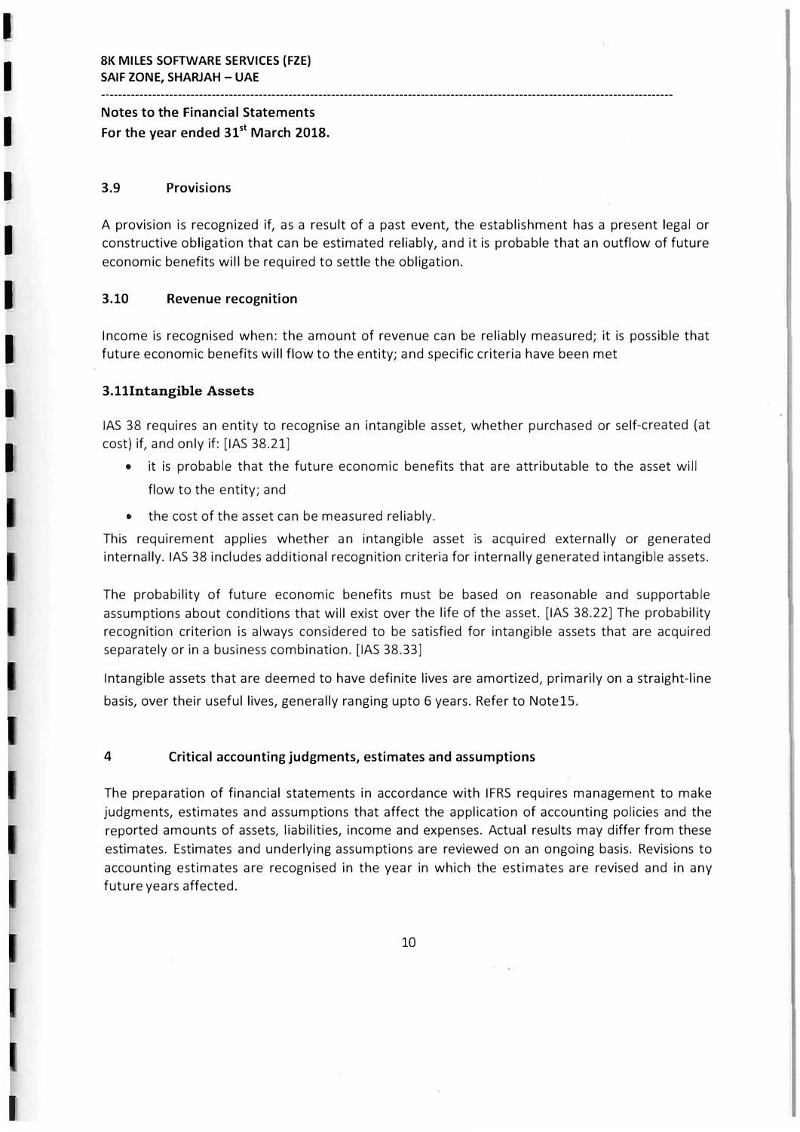## **Notes to the Financial Statements For the year ended 31st March 2018.**

### **3.9 Provisions**

I

I

I

I

I

I

I

I

I

I

A provision is recognized if, as a result of a past event, the establishment has a present legal or constructive obligation that can be estimated reliably, and it is probable that an outflow of future economic benefits will be required to settle the obligation.

----------------------------------------------------------------------------------------... ---------------------------------------------

#### **3.10 Revenue recognition**

Income is recognised when: the amount of revenue can be reliably measured; it is possible that future economic benefits will flow to the entity; and specific criteria have been met

#### **3.lllntangible Assets**

IAS 38 requires an entity to recognise an intangible asset, whether purchased or self-created (at cost) if, and only if: [IAS 38.21]

- • it is probable that the future economic benefits that are attributable to the asset will flow to the entity; and
- the cost of the asset can be measured reliably.

This requirement applies whether an intangible asset is acquired externally or generated internally. IAS 38 includes additional recognition criteria for internally generated intangible assets.

The probability of future economic benefits must be based on reasonable and supportable assumptions about conditions that will exist over the life of the asset. [IAS 38.22] The probability recognition criterion is always considered to be satisfied for intangible assets that are acquired separately or in a business combination. [IAS 38.33]

Intangible assets that are deemed to have definite lives are amortized, primarily on a straight-line basis, over their useful lives, generally ranging upto 6 years. Refer to Note15.

#### **4 Critical accounting judgments, estimates and assumptions**

The preparation of financial statements in accordance with IFRS requires management to make judgments, estimates and assumptions that affect the application of accounting policies and the reported amounts of assets, liabilities, income and expenses. Actual results may differ from these estimates. Estimates and underlying assumptions are reviewed on an ongoing basis. Revisions to accounting estimates are recognised in the year in which the estimates are revised and in any future years affected.

10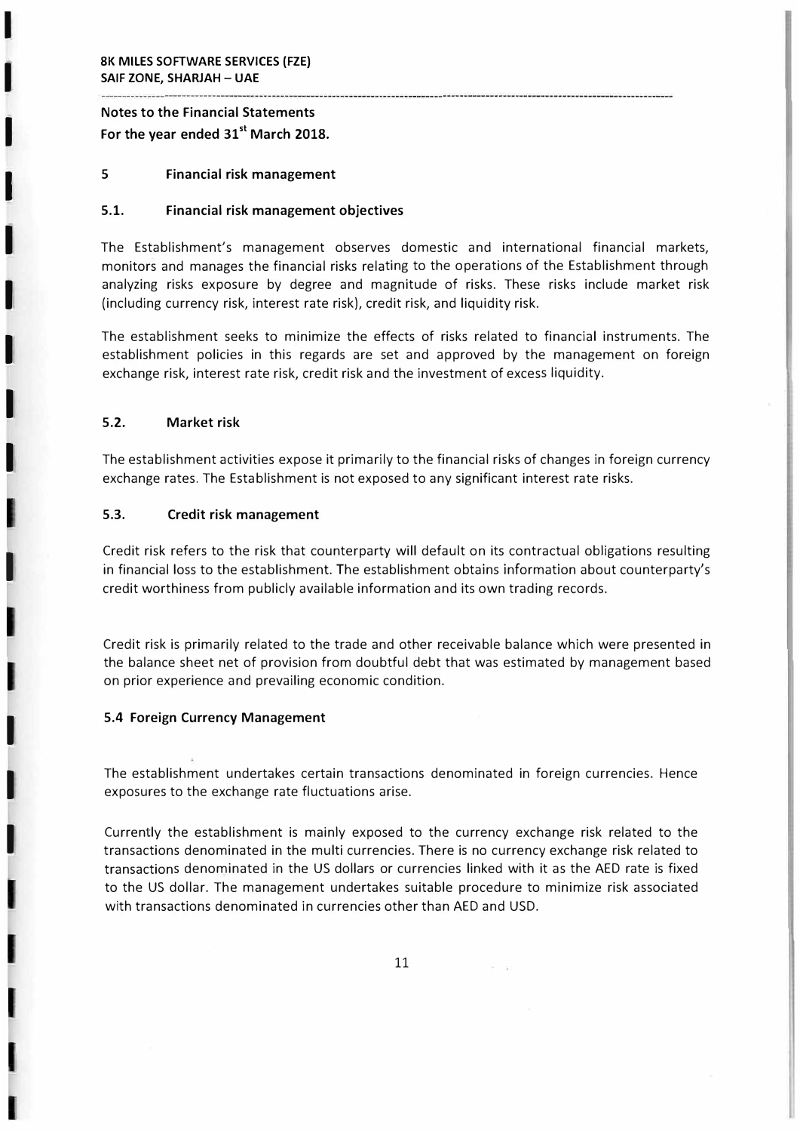I

I

I

I

I

I

I

I

I

I

I

I

## **Notes to the Financial Statements For the year ended 31st March 2018.**

#### **5 Financial risk management**

#### **5.1. Financial risk management objectives**

The Establishment's management observes domestic and international financial markets, monitors and manages the financial risks relating to the operations of the Establishment through analyzing risks exposure by degree and magnitude of risks. These risks include market risk (including currency risk, interest rate risk), credit risk, and liquidity risk.

The establishment seeks to minimize the effects of risks related to financial instruments. The establishment policies in this regards are set and approved by the management on foreign exchange risk, interest rate risk, credit risk and the investment of excess liquidity.

#### **5.2. Market risk**

The establishment activities expose it primarily to the financial risks of changes in foreign currency exchange rates. The Establishment is not exposed to any significant interest rate risks.

#### **5.3. Credit risk management**

Credit risk refers to the risk that counterparty will default on its contractual obligations resulting in financial loss to the establishment. The establishment obtains information about counterparty's credit worthiness from publicly available information and its own trading records.

Credit risk is primarily related to the trade and other receivable balance which were presented in the balance sheet net of provision from doubtful debt that was estimated by management based on prior experience and prevailing economic condition.

#### **5.4 Foreign Currency Management**

The establishment undertakes certain transactions denominated in foreign currencies. Hence exposures to the exchange rate fluctuations arise.

Currently the establishment is mainly exposed to the currency exchange risk related to the transactions denominated in the multi currencies. There is no currency exchange risk related to transactions denominated in the US dollars or currencies linked with it as the AED rate is fixed to the US dollar. The management undertakes suitable procedure to minimize risk associated with transactions denominated in currencies other than AED and USD.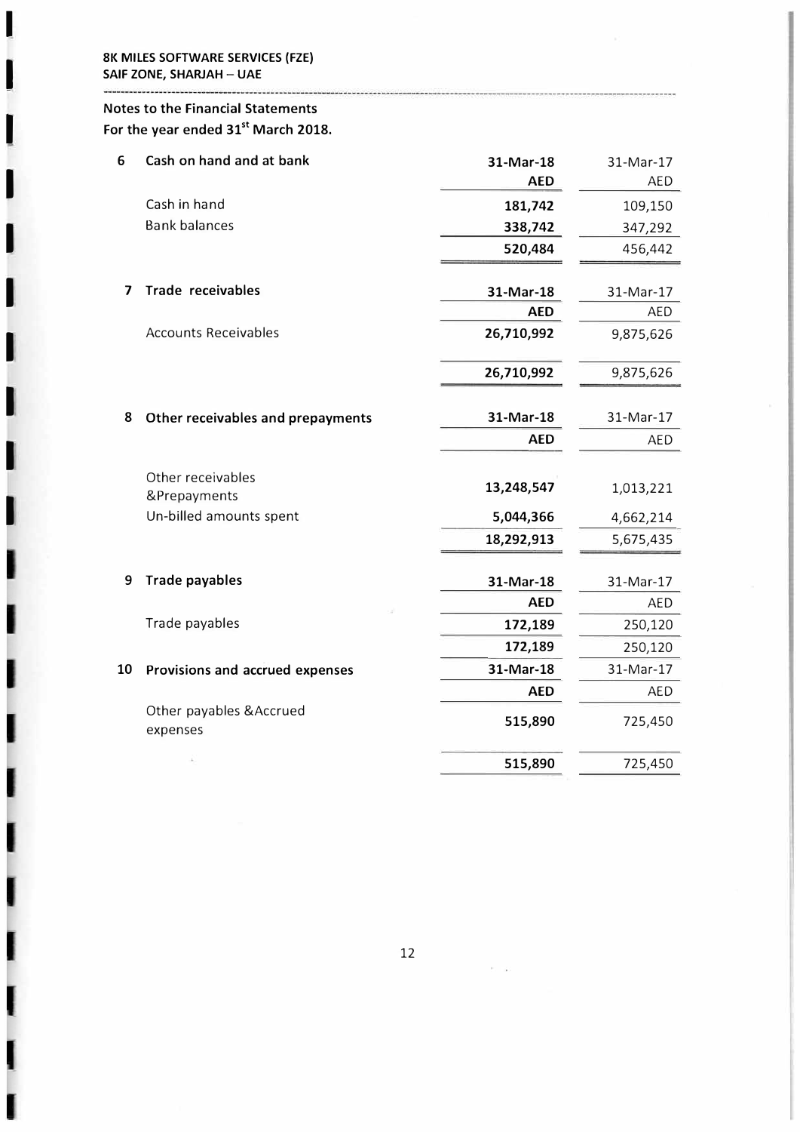-------------------------------

I

I

I

I

I

I

I

I

I

I

# Notes to the Financial Statements For the year ended **31**st March **2018.**

| 6  | Cash on hand and at bank                                     | 31-Mar-18<br><b>AED</b> | 31-Mar-17<br>AED       |
|----|--------------------------------------------------------------|-------------------------|------------------------|
|    | Cash in hand                                                 | 181,742                 | 109,150                |
|    | <b>Bank balances</b>                                         | 338,742                 | 347,292                |
|    |                                                              | 520,484                 | 456,442                |
| 7  | <b>Trade receivables</b>                                     | 31-Mar-18               | 31-Mar-17              |
|    |                                                              | <b>AED</b>              | <b>AED</b>             |
|    | <b>Accounts Receivables</b>                                  | 26,710,992              | 9,875,626              |
|    |                                                              | 26,710,992              | 9,875,626              |
| 8  | Other receivables and prepayments                            | 31-Mar-18               | 31-Mar-17              |
|    |                                                              | <b>AED</b>              | AED                    |
|    | Other receivables<br>&Prepayments<br>Un-billed amounts spent | 13,248,547<br>5,044,366 | 1,013,221              |
|    |                                                              | 18,292,913              | 4,662,214<br>5,675,435 |
| 9  | <b>Trade payables</b>                                        | 31-Mar-18               | 31-Mar-17              |
|    |                                                              | <b>AED</b>              | <b>AED</b>             |
|    | Trade payables                                               | 172,189                 | 250,120                |
|    |                                                              | 172,189                 | 250,120                |
| 10 | Provisions and accrued expenses                              | 31-Mar-18               | 31-Mar-17              |
|    |                                                              | <b>AED</b>              | AED                    |
|    | Other payables & Accrued<br>expenses                         | 515,890                 | 725,450                |
|    |                                                              | 515,890                 | 725,450                |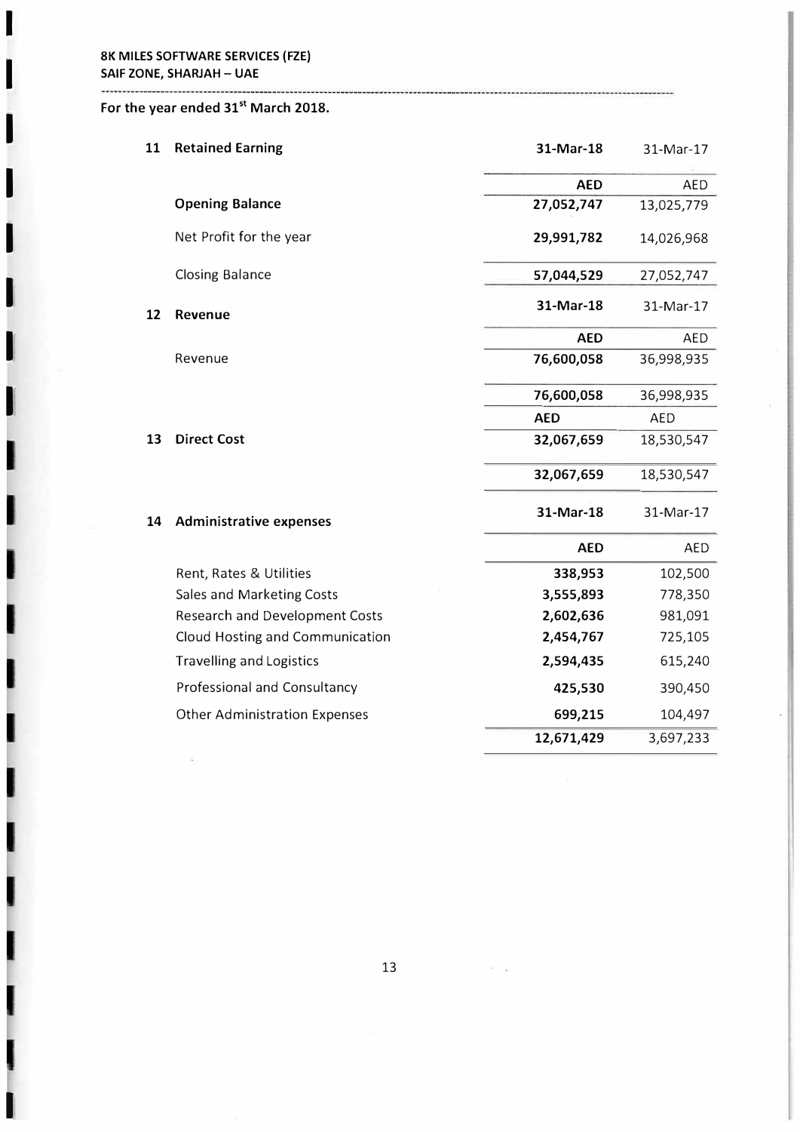**I** 

**I** 

**I** 

**I** 

**I** 

**I** 

**I** 

**I** 

I

## **For the year ended 31st March 2018.**

| 11 | <b>Retained Earning</b>               | 31-Mar-18  | 31-Mar-17  |
|----|---------------------------------------|------------|------------|
|    |                                       | <b>AED</b> | <b>AED</b> |
|    | <b>Opening Balance</b>                | 27,052,747 | 13,025,779 |
|    | Net Profit for the year               | 29,991,782 | 14,026,968 |
|    | <b>Closing Balance</b>                | 57,044,529 | 27,052,747 |
| 12 | Revenue                               | 31-Mar-18  | 31-Mar-17  |
|    |                                       | <b>AED</b> | <b>AED</b> |
|    | Revenue                               | 76,600,058 | 36,998,935 |
|    |                                       | 76,600,058 | 36,998,935 |
|    |                                       | <b>AED</b> | <b>AED</b> |
| 13 | <b>Direct Cost</b>                    | 32,067,659 | 18,530,547 |
|    |                                       | 32,067,659 | 18,530,547 |
| 14 | <b>Administrative expenses</b>        | 31-Mar-18  | 31-Mar-17  |
|    |                                       | <b>AED</b> | <b>AED</b> |
|    | Rent, Rates & Utilities               | 338,953    | 102,500    |
|    | Sales and Marketing Costs             | 3,555,893  | 778,350    |
|    | <b>Research and Development Costs</b> | 2,602,636  | 981,091    |
|    | Cloud Hosting and Communication       | 2,454,767  | 725,105    |
|    | Travelling and Logistics              | 2,594,435  | 615,240    |
|    | Professional and Consultancy          | 425,530    | 390,450    |
|    | <b>Other Administration Expenses</b>  | 699,215    | 104,497    |
|    |                                       | 12,671,429 | 3,697,233  |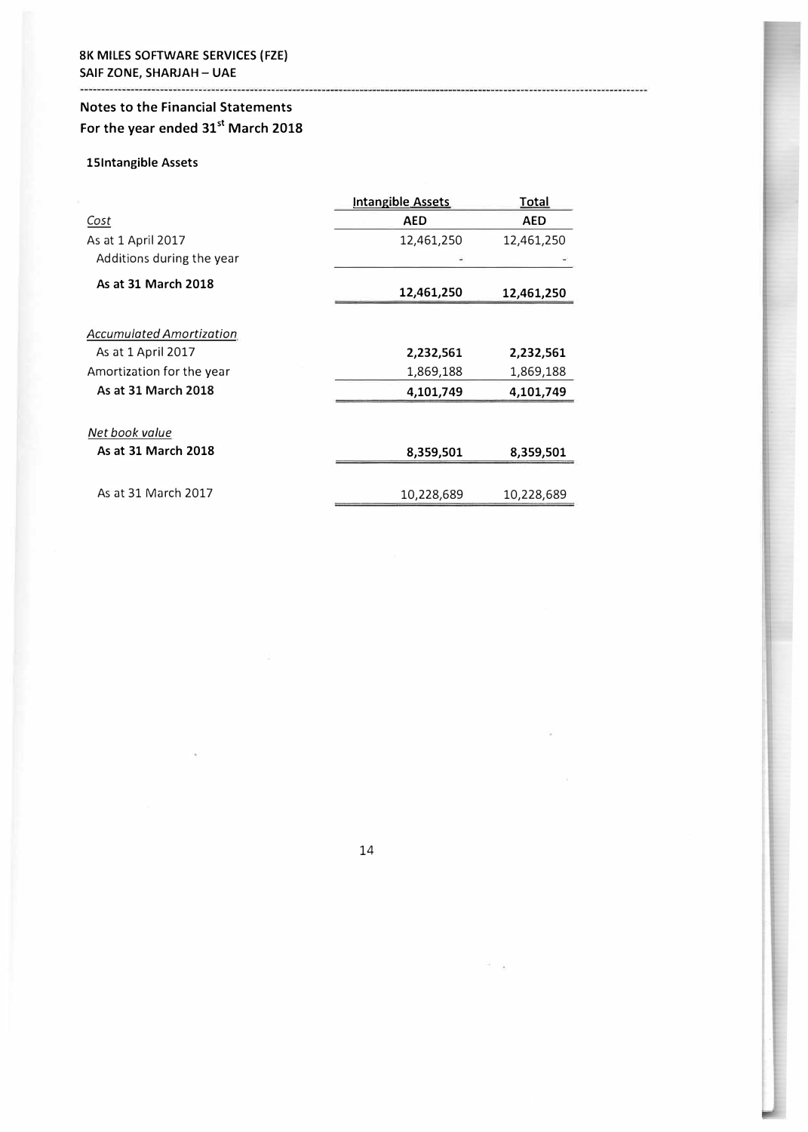# **Notes to the Financial Statements For the year ended 31st March 2018**

## **lSlntangible Assets**

--------------------------------

|                                 | <b>Intangible Assets</b> | Total      |
|---------------------------------|--------------------------|------------|
| Cost                            | <b>AED</b>               | <b>AED</b> |
| As at 1 April 2017              | 12,461,250               | 12,461,250 |
| Additions during the year       |                          |            |
| As at 31 March 2018             | 12,461,250               | 12,461,250 |
| <b>Accumulated Amortization</b> |                          |            |
| As at 1 April 2017              | 2,232,561                | 2,232,561  |
| Amortization for the year       | 1,869,188                | 1,869,188  |
| As at 31 March 2018             | 4,101,749                | 4,101,749  |
| Net book value                  |                          |            |
| As at 31 March 2018             | 8,359,501                | 8,359,501  |
| As at 31 March 2017             | 10,228,689               | 10,228,689 |